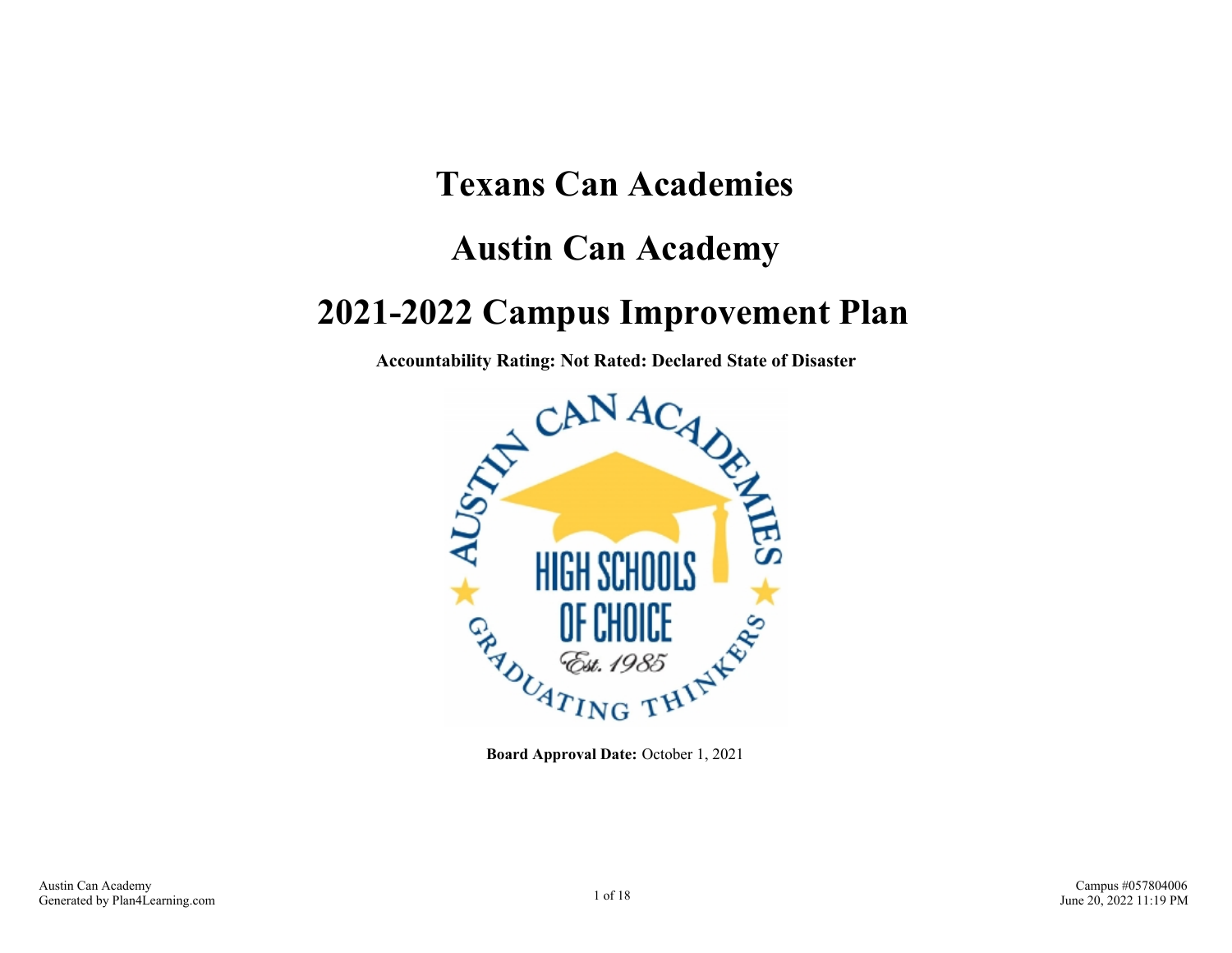# **Texans Can Academies Austin Can Academy 2021-2022 Campus Improvement Plan**

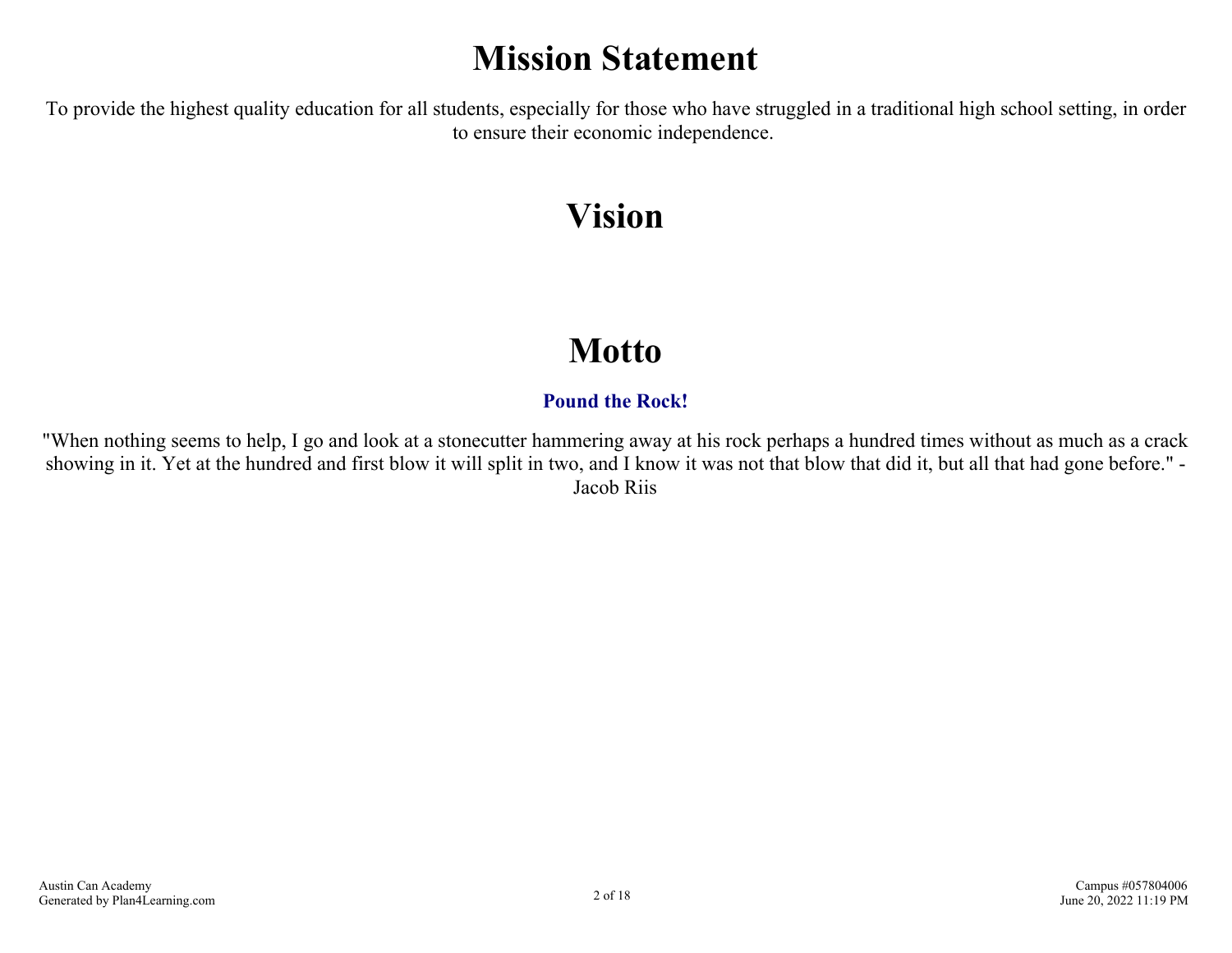## **Mission Statement**

To provide the highest quality education for all students, especially for those who have struggled in a traditional high school setting, in order to ensure their economic independence.

## **Vision**

## **Motto**

## **Pound the Rock!**

"When nothing seems to help, I go and look at a stonecutter hammering away at his rock perhaps a hundred times without as much as a crack showing in it. Yet at the hundred and first blow it will split in two, and I know it was not that blow that did it, but all that had gone before." - Jacob Riis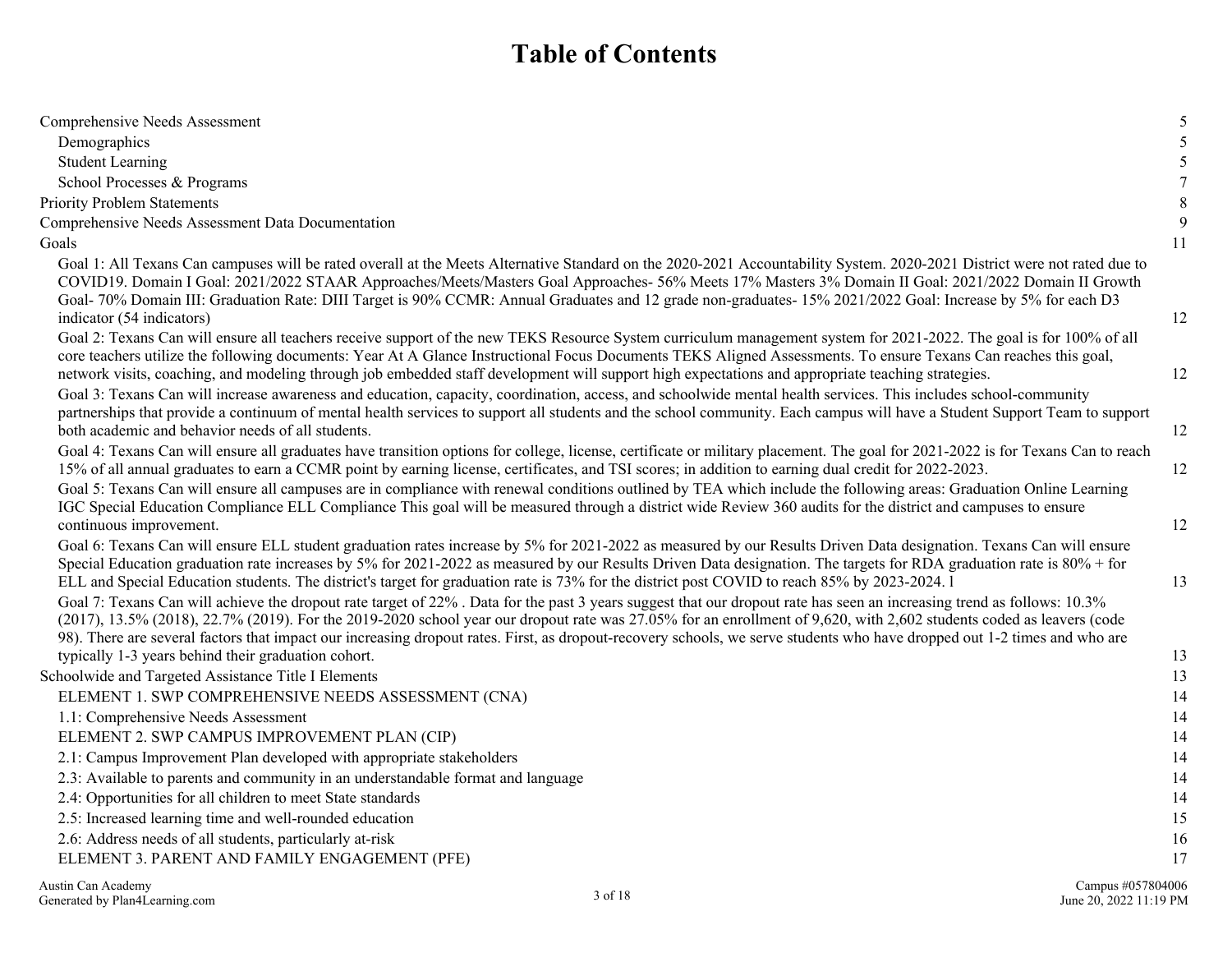## **Table of Contents**

| Comprehensive Needs Assessment                                                                                                                                                                                                                                                                                                                                                                                                                                                                                               | 5  |
|------------------------------------------------------------------------------------------------------------------------------------------------------------------------------------------------------------------------------------------------------------------------------------------------------------------------------------------------------------------------------------------------------------------------------------------------------------------------------------------------------------------------------|----|
| Demographics                                                                                                                                                                                                                                                                                                                                                                                                                                                                                                                 | 5  |
| <b>Student Learning</b>                                                                                                                                                                                                                                                                                                                                                                                                                                                                                                      | 5  |
| School Processes & Programs                                                                                                                                                                                                                                                                                                                                                                                                                                                                                                  | 7  |
| <b>Priority Problem Statements</b>                                                                                                                                                                                                                                                                                                                                                                                                                                                                                           | 8  |
| Comprehensive Needs Assessment Data Documentation                                                                                                                                                                                                                                                                                                                                                                                                                                                                            | 9  |
| Goals                                                                                                                                                                                                                                                                                                                                                                                                                                                                                                                        | 11 |
| Goal 1: All Texans Can campuses will be rated overall at the Meets Alternative Standard on the 2020-2021 Accountability System. 2020-2021 District were not rated due to<br>COVID19. Domain I Goal: 2021/2022 STAAR Approaches/Meets/Masters Goal Approaches-56% Meets 17% Masters 3% Domain II Goal: 2021/2022 Domain II Growth<br>Goal- 70% Domain III: Graduation Rate: DIII Target is 90% CCMR: Annual Graduates and 12 grade non-graduates- 15% 2021/2022 Goal: Increase by 5% for each D3<br>indicator (54 indicators) | 12 |
| Goal 2: Texans Can will ensure all teachers receive support of the new TEKS Resource System curriculum management system for 2021-2022. The goal is for 100% of all<br>core teachers utilize the following documents: Year At A Glance Instructional Focus Documents TEKS Aligned Assessments. To ensure Texans Can reaches this goal,<br>network visits, coaching, and modeling through job embedded staff development will support high expectations and appropriate teaching strategies.                                  | 12 |
| Goal 3: Texans Can will increase awareness and education, capacity, coordination, access, and schoolwide mental health services. This includes school-community<br>partnerships that provide a continuum of mental health services to support all students and the school community. Each campus will have a Student Support Team to support<br>both academic and behavior needs of all students.                                                                                                                            | 12 |
| Goal 4: Texans Can will ensure all graduates have transition options for college, license, certificate or military placement. The goal for 2021-2022 is for Texans Can to reach<br>15% of all annual graduates to earn a CCMR point by earning license, certificates, and TSI scores; in addition to earning dual credit for 2022-2023.<br>Goal 5: Texans Can will ensure all campuses are in compliance with renewal conditions outlined by TEA which include the following areas: Graduation Online Learning               | 12 |
| IGC Special Education Compliance ELL Compliance This goal will be measured through a district wide Review 360 audits for the district and campuses to ensure<br>continuous improvement.                                                                                                                                                                                                                                                                                                                                      | 12 |
| Goal 6: Texans Can will ensure ELL student graduation rates increase by 5% for 2021-2022 as measured by our Results Driven Data designation. Texans Can will ensure<br>Special Education graduation rate increases by 5% for 2021-2022 as measured by our Results Driven Data designation. The targets for RDA graduation rate is 80% + for<br>ELL and Special Education students. The district's target for graduation rate is 73% for the district post COVID to reach 85% by 2023-2024. 1                                 | 13 |
| Goal 7: Texans Can will achieve the dropout rate target of 22%. Data for the past 3 years suggest that our dropout rate has seen an increasing trend as follows: 10.3%<br>(2017), 13.5% (2018), 22.7% (2019). For the 2019-2020 school year our dropout rate was 27.05% for an enrollment of 9,620, with 2,602 students coded as leavers (code<br>98). There are several factors that impact our increasing dropout rates. First, as dropout-recovery schools, we serve students who have dropped out 1-2 times and who are  |    |
| typically 1-3 years behind their graduation cohort.                                                                                                                                                                                                                                                                                                                                                                                                                                                                          | 13 |
| Schoolwide and Targeted Assistance Title I Elements                                                                                                                                                                                                                                                                                                                                                                                                                                                                          | 13 |
| ELEMENT 1. SWP COMPREHENSIVE NEEDS ASSESSMENT (CNA)                                                                                                                                                                                                                                                                                                                                                                                                                                                                          | 14 |
| 1.1: Comprehensive Needs Assessment                                                                                                                                                                                                                                                                                                                                                                                                                                                                                          | 14 |
| ELEMENT 2. SWP CAMPUS IMPROVEMENT PLAN (CIP)                                                                                                                                                                                                                                                                                                                                                                                                                                                                                 | 14 |
| 2.1: Campus Improvement Plan developed with appropriate stakeholders                                                                                                                                                                                                                                                                                                                                                                                                                                                         | 14 |
| 2.3: Available to parents and community in an understandable format and language                                                                                                                                                                                                                                                                                                                                                                                                                                             | 14 |
| 2.4: Opportunities for all children to meet State standards                                                                                                                                                                                                                                                                                                                                                                                                                                                                  | 14 |
| 2.5: Increased learning time and well-rounded education                                                                                                                                                                                                                                                                                                                                                                                                                                                                      | 15 |
| 2.6: Address needs of all students, particularly at-risk                                                                                                                                                                                                                                                                                                                                                                                                                                                                     | 16 |
| ELEMENT 3. PARENT AND FAMILY ENGAGEMENT (PFE)                                                                                                                                                                                                                                                                                                                                                                                                                                                                                | 17 |
|                                                                                                                                                                                                                                                                                                                                                                                                                                                                                                                              |    |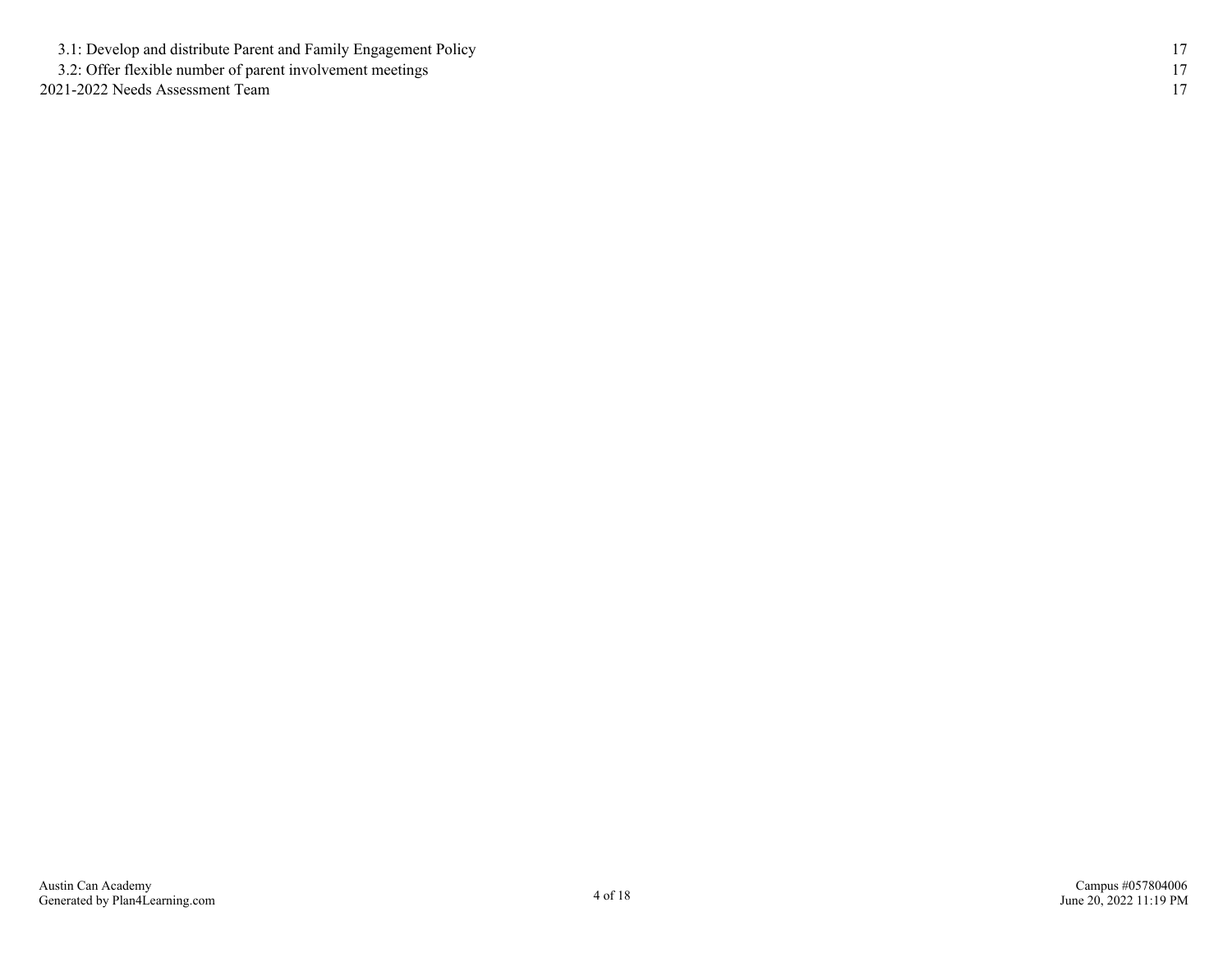[3.1: Develop and distribute Parent and Family Engagement Policy](#page-16-0) [17](#page-16-0)

[3.2: Offer flexible number of parent involvement meetings](#page-16-0) [17](#page-16-0)

[2021-2022 Needs Assessment Team](#page-17-0) [17](#page-17-0)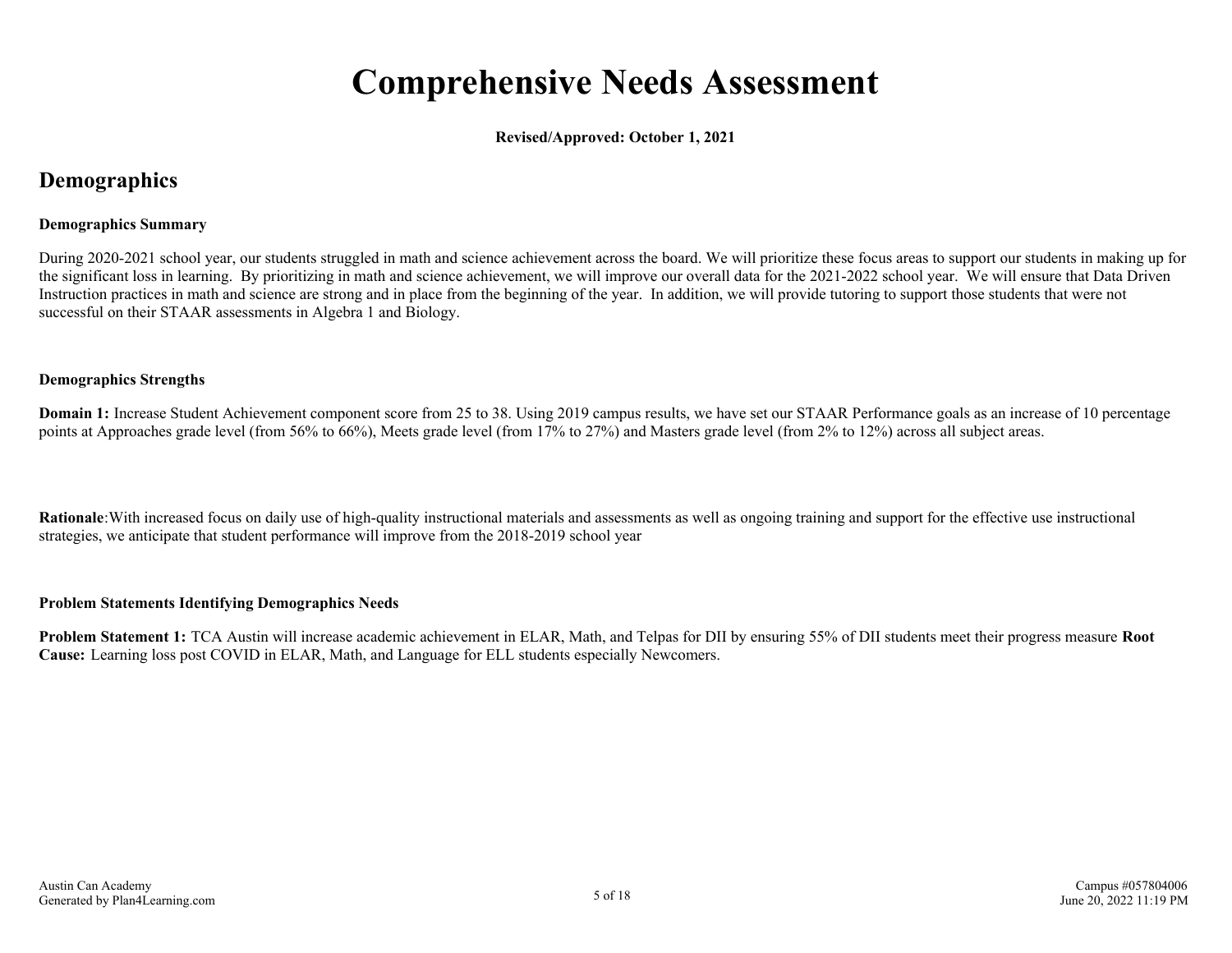## **Comprehensive Needs Assessment**

**Revised/Approved: October 1, 2021**

### <span id="page-4-0"></span>**Demographics**

#### **Demographics Summary**

During 2020-2021 school year, our students struggled in math and science achievement across the board. We will prioritize these focus areas to support our students in making up for the significant loss in learning. By prioritizing in math and science achievement, we will improve our overall data for the 2021-2022 school year. We will ensure that Data Driven Instruction practices in math and science are strong and in place from the beginning of the year. In addition, we will provide tutoring to support those students that were not successful on their STAAR assessments in Algebra 1 and Biology.

#### **Demographics Strengths**

**Domain 1:** Increase Student Achievement component score from 25 to 38. Using 2019 campus results, we have set our STAAR Performance goals as an increase of 10 percentage points at Approaches grade level (from 56% to 66%), Meets grade level (from 17% to 27%) and Masters grade level (from 2% to 12%) across all subject areas.

**Rationale**:With increased focus on daily use of high-quality instructional materials and assessments as well as ongoing training and support for the effective use instructional strategies, we anticipate that student performance will improve from the 2018-2019 school year

#### **Problem Statements Identifying Demographics Needs**

**Problem Statement 1:** TCA Austin will increase academic achievement in ELAR, Math, and Telpas for DII by ensuring 55% of DII students meet their progress measure **Root Cause:** Learning loss post COVID in ELAR, Math, and Language for ELL students especially Newcomers.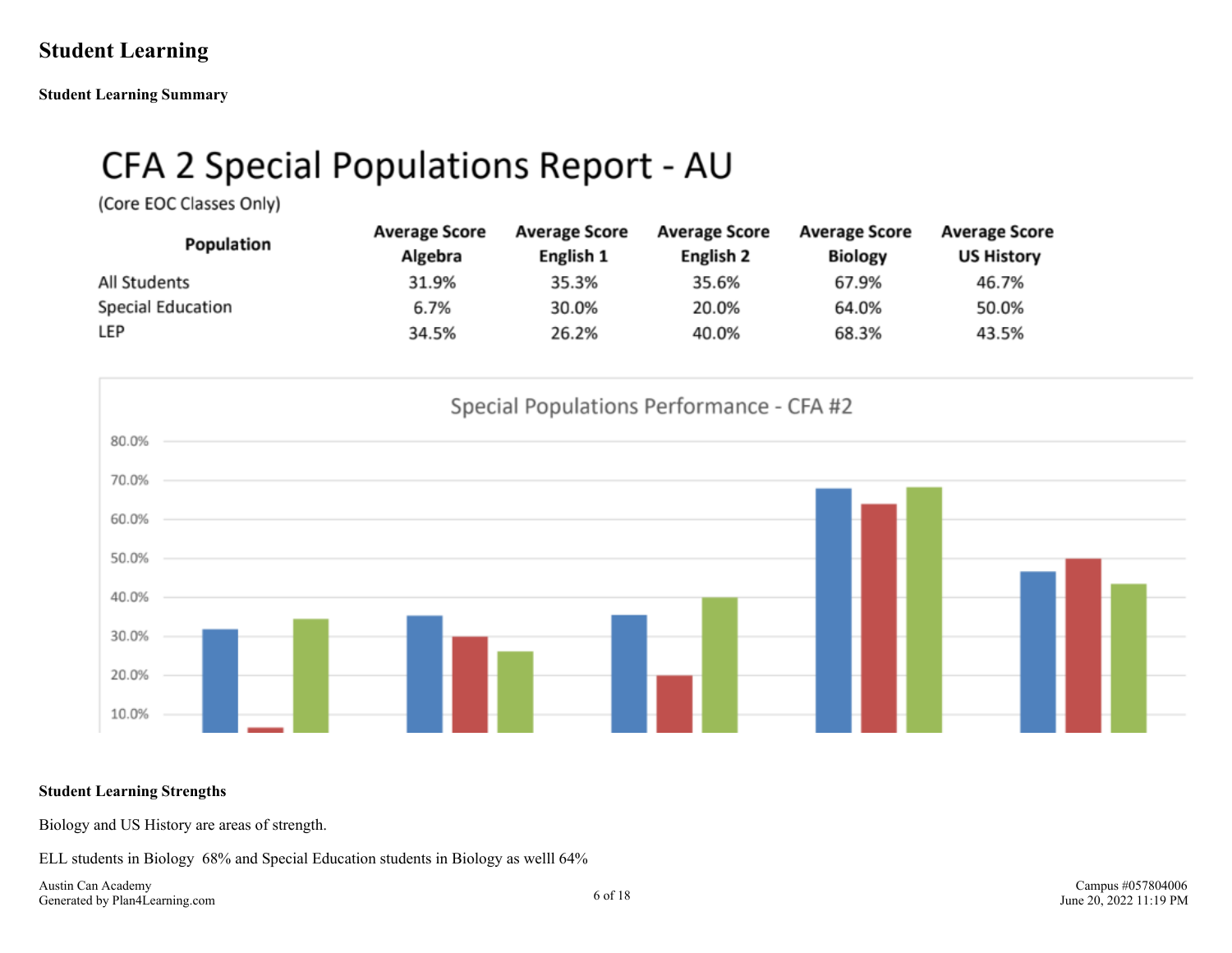### <span id="page-5-0"></span>**Student Learning**

**Student Learning Summary**

## CFA 2 Special Populations Report - AU

(Core EOC Classes Only)

| Population        | <b>Average Score</b><br>Algebra | <b>Average Score</b><br>English 1 | <b>Average Score</b><br>English 2 | <b>Average Score</b><br><b>Biology</b> | <b>Average Score</b><br><b>US History</b> |
|-------------------|---------------------------------|-----------------------------------|-----------------------------------|----------------------------------------|-------------------------------------------|
| All Students      | 31.9%                           | 35.3%                             | 35.6%                             | 67.9%                                  | 46.7%                                     |
| Special Education | 6.7%                            | 30.0%                             | 20.0%                             | 64.0%                                  | 50.0%                                     |
| LEP               | 34.5%                           | 26.2%                             | 40.0%                             | 68.3%                                  | 43.5%                                     |



#### **Student Learning Strengths**

Biology and US History are areas of strength.

ELL students in Biology 68% and Special Education students in Biology as welll 64%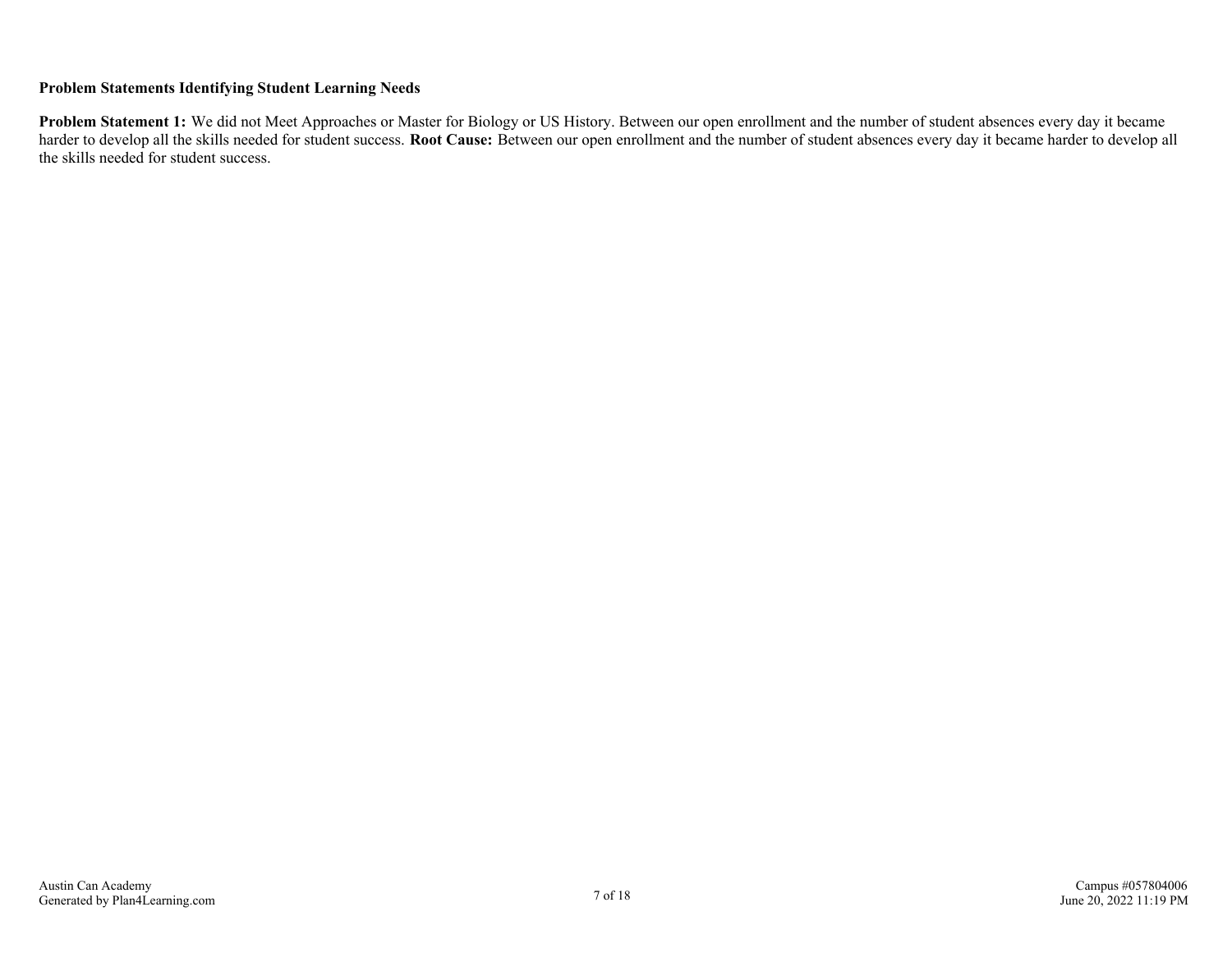#### **Problem Statements Identifying Student Learning Needs**

**Problem Statement 1:** We did not Meet Approaches or Master for Biology or US History. Between our open enrollment and the number of student absences every day it became harder to develop all the skills needed for student success. **Root Cause:** Between our open enrollment and the number of student absences every day it became harder to develop all the skills needed for student success.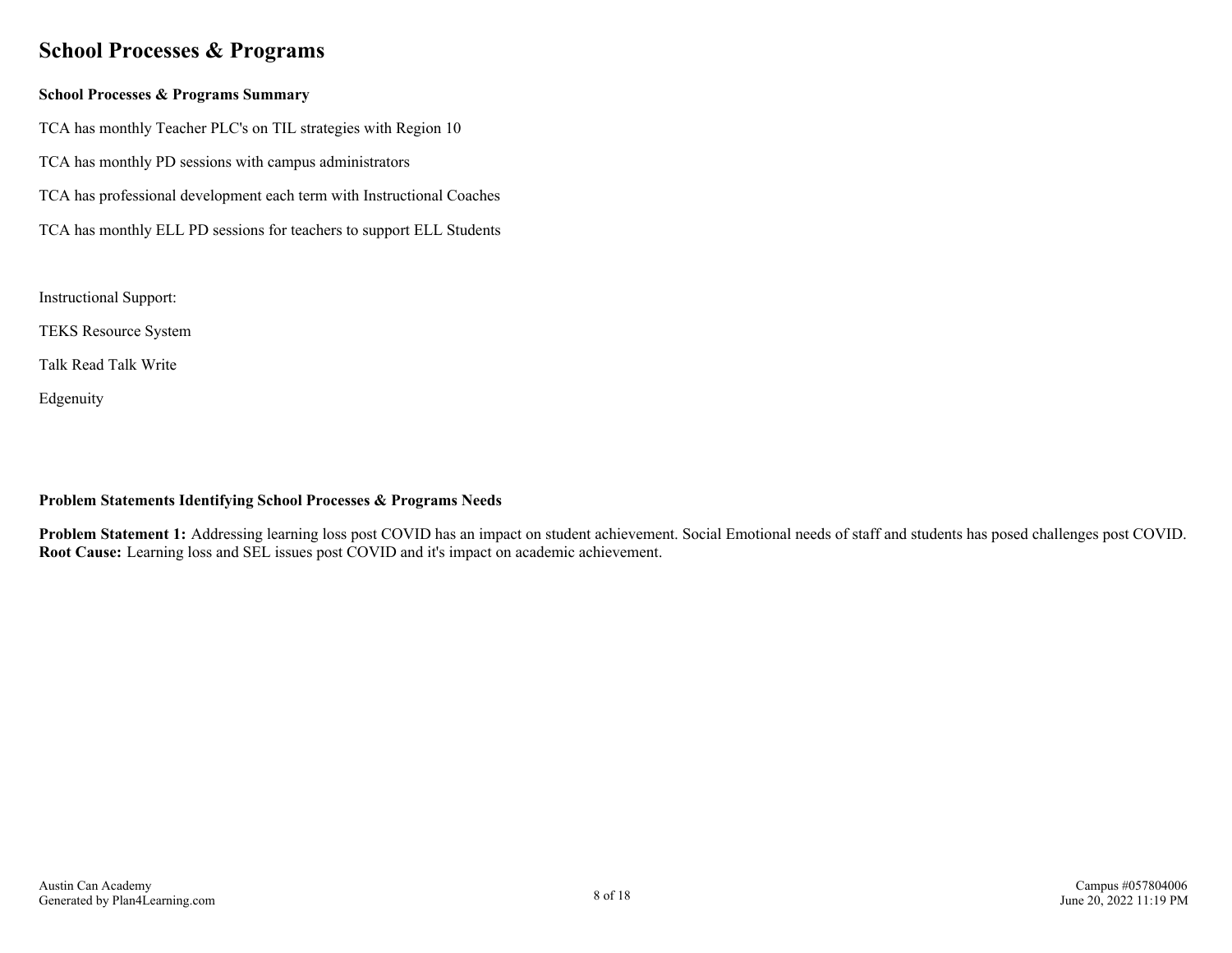### <span id="page-7-0"></span>**School Processes & Programs**

#### **School Processes & Programs Summary**

TCA has monthly Teacher PLC's on TIL strategies with Region 10

- TCA has monthly PD sessions with campus administrators
- TCA has professional development each term with Instructional Coaches
- TCA has monthly ELL PD sessions for teachers to support ELL Students

Instructional Support:

TEKS Resource System

Talk Read Talk Write

Edgenuity

#### **Problem Statements Identifying School Processes & Programs Needs**

**Problem Statement 1:** Addressing learning loss post COVID has an impact on student achievement. Social Emotional needs of staff and students has posed challenges post COVID. **Root Cause:** Learning loss and SEL issues post COVID and it's impact on academic achievement.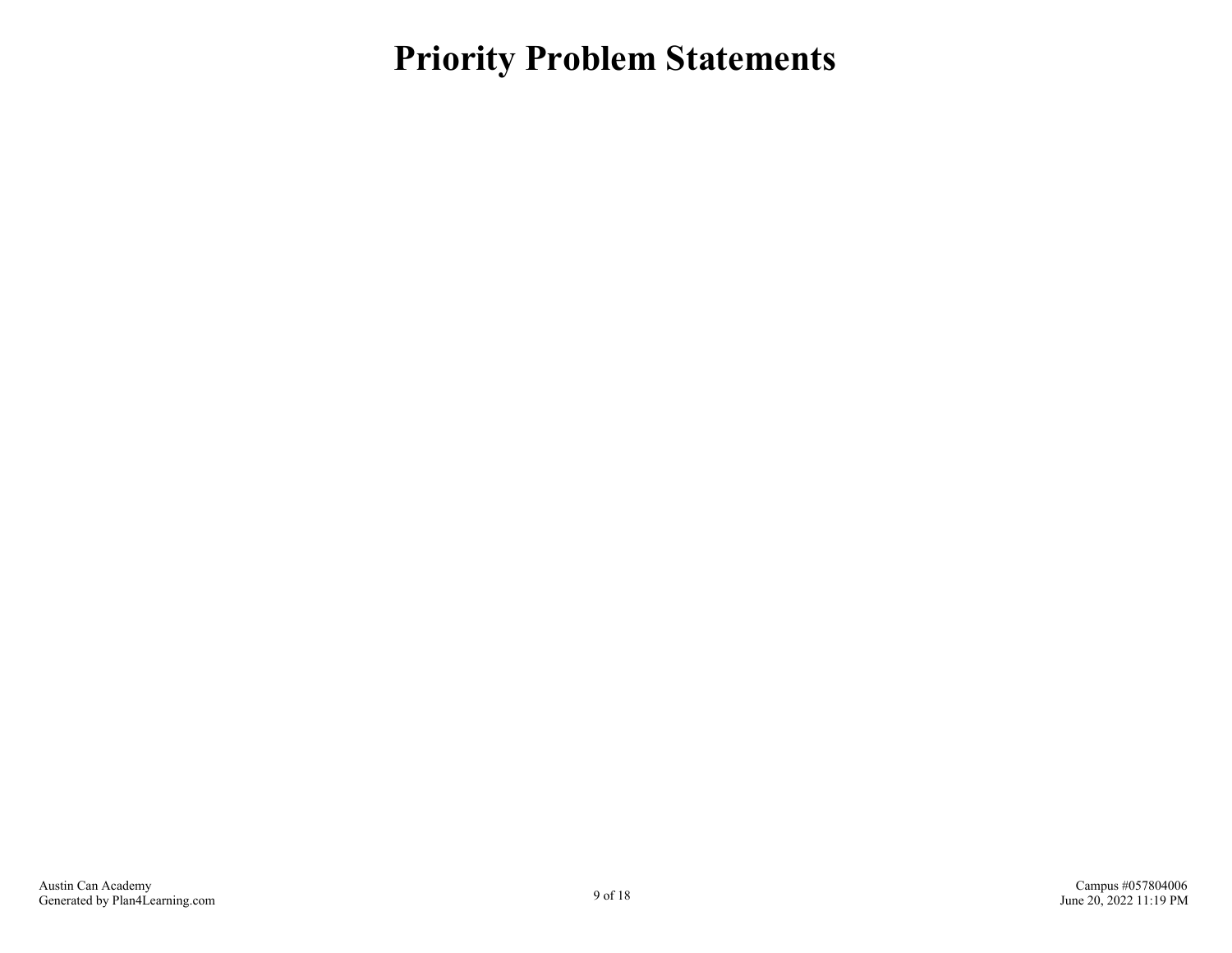<span id="page-8-0"></span>**Priority Problem Statements**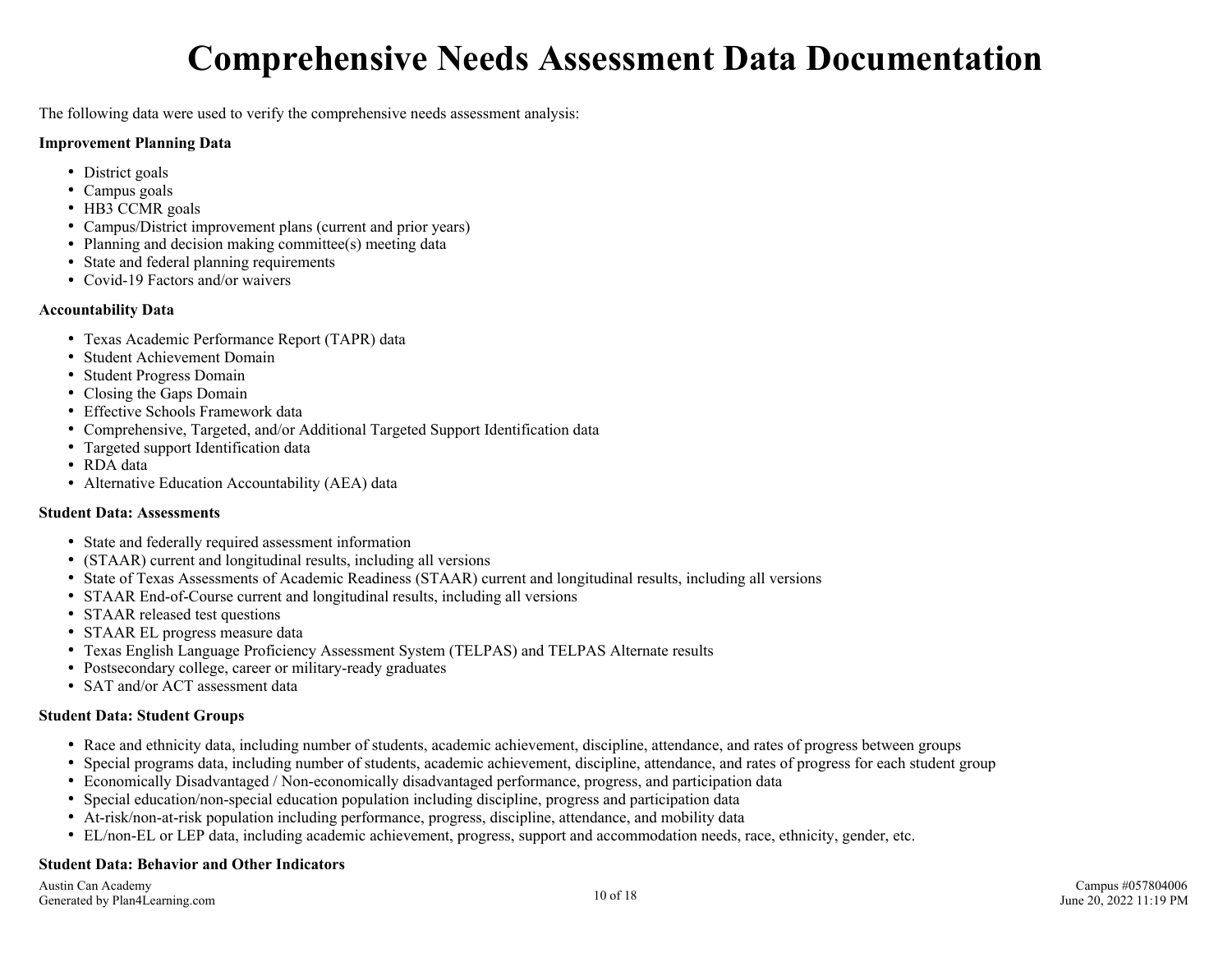## **Comprehensive Needs Assessment Data Documentation**

<span id="page-9-0"></span>The following data were used to verify the comprehensive needs assessment analysis:

#### **Improvement Planning Data**

- District goals
- Campus goals
- HB3 CCMR goals
- Campus/District improvement plans (current and prior years)
- Planning and decision making committee(s) meeting data
- State and federal planning requirements
- Covid-19 Factors and/or waivers

#### **Accountability Data**

- Texas Academic Performance Report (TAPR) data
- Student Achievement Domain
- Student Progress Domain
- Closing the Gaps Domain
- Effective Schools Framework data
- Comprehensive, Targeted, and/or Additional Targeted Support Identification data
- Targeted support Identification data
- RDA data
- Alternative Education Accountability (AEA) data

#### **Student Data: Assessments**

- State and federally required assessment information
- (STAAR) current and longitudinal results, including all versions
- State of Texas Assessments of Academic Readiness (STAAR) current and longitudinal results, including all versions
- STAAR End-of-Course current and longitudinal results, including all versions
- STAAR released test questions
- STAAR EL progress measure data
- Texas English Language Proficiency Assessment System (TELPAS) and TELPAS Alternate results
- Postsecondary college, career or military-ready graduates
- SAT and/or ACT assessment data

#### **Student Data: Student Groups**

- Race and ethnicity data, including number of students, academic achievement, discipline, attendance, and rates of progress between groups
- Special programs data, including number of students, academic achievement, discipline, attendance, and rates of progress for each student group
- Economically Disadvantaged / Non-economically disadvantaged performance, progress, and participation data
- Special education/non-special education population including discipline, progress and participation data
- At-risk/non-at-risk population including performance, progress, discipline, attendance, and mobility data
- EL/non-EL or LEP data, including academic achievement, progress, support and accommodation needs, race, ethnicity, gender, etc.

#### **Student Data: Behavior and Other Indicators**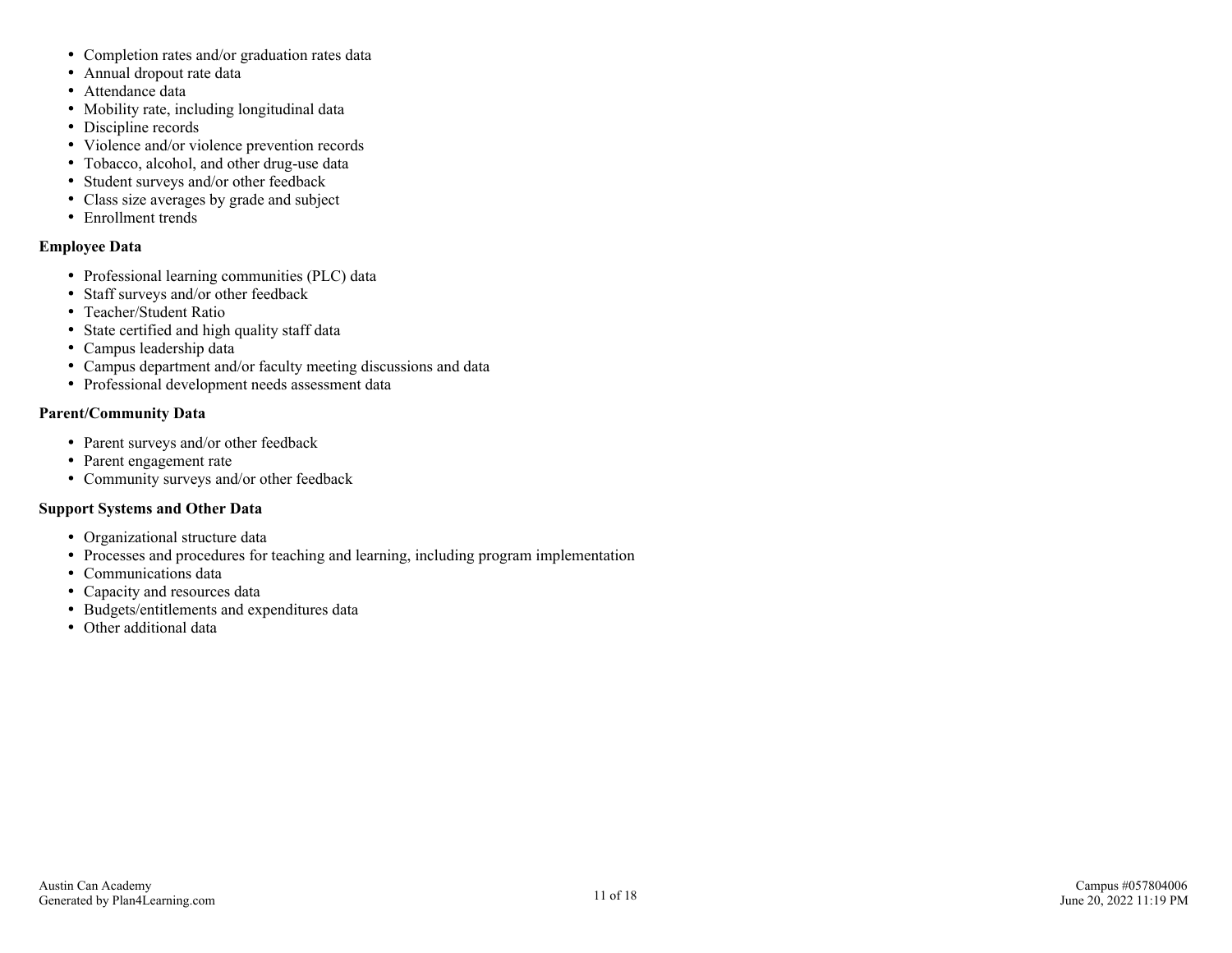- Completion rates and/or graduation rates data
- Annual dropout rate data
- Attendance data
- Mobility rate, including longitudinal data
- Discipline records
- Violence and/or violence prevention records
- Tobacco, alcohol, and other drug-use data
- Student surveys and/or other feedback
- Class size averages by grade and subject
- Enrollment trends

#### **Employee Data**

- Professional learning communities (PLC) data
- Staff surveys and/or other feedback
- Teacher/Student Ratio
- State certified and high quality staff data
- Campus leadership data
- Campus department and/or faculty meeting discussions and data
- Professional development needs assessment data

#### **Parent/Community Data**

- Parent surveys and/or other feedback
- Parent engagement rate
- Community surveys and/or other feedback

#### **Support Systems and Other Data**

- Organizational structure data
- Processes and procedures for teaching and learning, including program implementation
- Communications data
- Capacity and resources data
- Budgets/entitlements and expenditures data
- Other additional data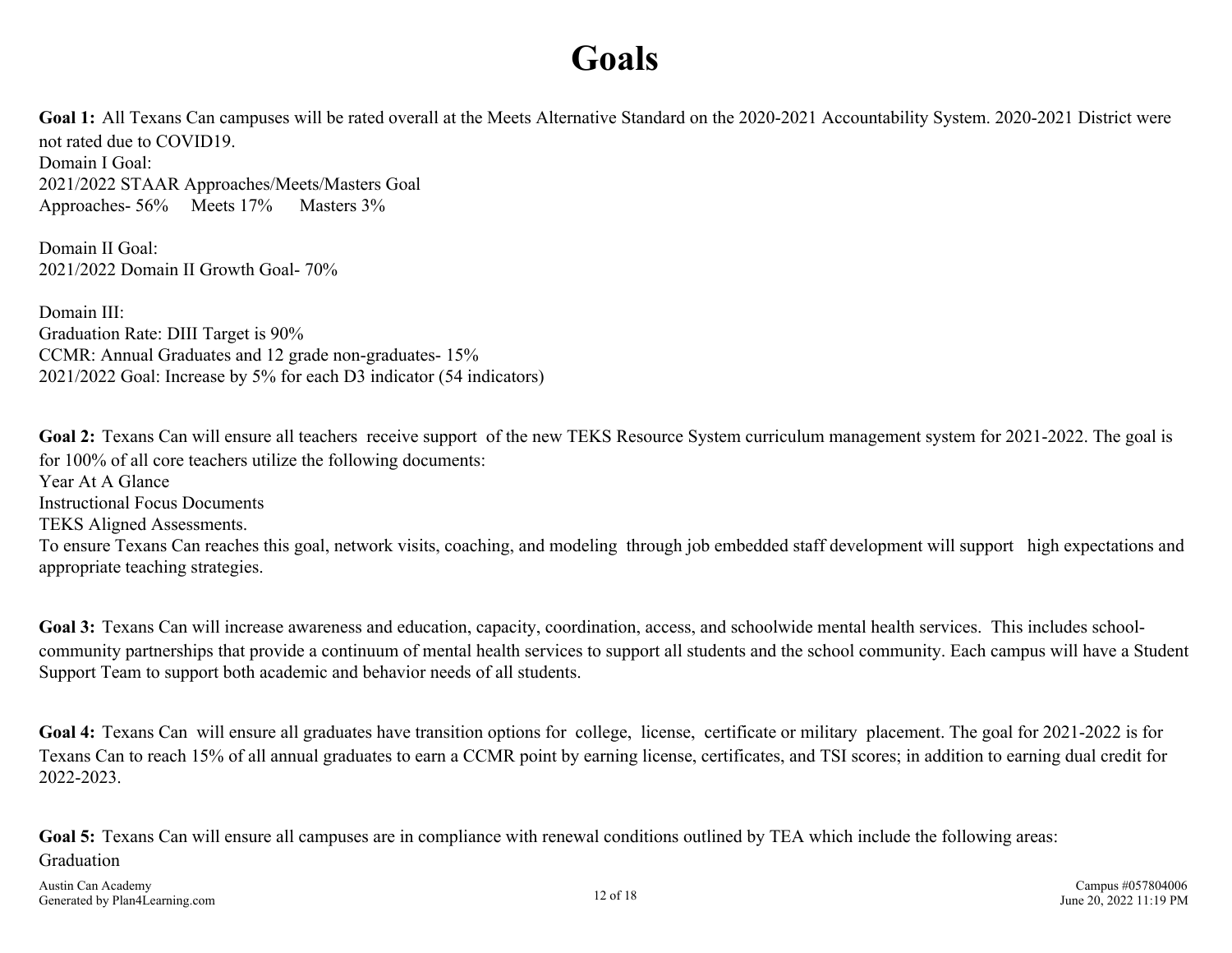## **Goals**

<span id="page-11-0"></span>Goal 1: All Texans Can campuses will be rated overall at the Meets Alternative Standard on the 2020-2021 Accountability System. 2020-2021 District were not rated due to COVID19. Domain I Goal: 2021/2022 STAAR Approaches/Meets/Masters Goal Approaches- 56% Meets 17% Masters 3%

Domain II Goal: 2021/2022 Domain II Growth Goal- 70%

Domain III: Graduation Rate: DIII Target is 90% CCMR: Annual Graduates and 12 grade non-graduates- 15% 2021/2022 Goal: Increase by 5% for each D3 indicator (54 indicators)

Goal 2: Texans Can will ensure all teachers receive support of the new TEKS Resource System curriculum management system for 2021-2022. The goal is for 100% of all core teachers utilize the following documents: Year At A Glance Instructional Focus Documents TEKS Aligned Assessments. To ensure Texans Can reaches this goal, network visits, coaching, and modeling through job embedded staff development will support high expectations and appropriate teaching strategies.

Goal 3: Texans Can will increase awareness and education, capacity, coordination, access, and schoolwide mental health services. This includes schoolcommunity partnerships that provide a continuum of mental health services to support all students and the school community. Each campus will have a Student Support Team to support both academic and behavior needs of all students.

**Goal 4:** Texans Can will ensure all graduates have transition options for college, license, certificate or military placement. The goal for 2021-2022 is for Texans Can to reach 15% of all annual graduates to earn a CCMR point by earning license, certificates, and TSI scores; in addition to earning dual credit for 2022-2023.

**Goal 5:** Texans Can will ensure all campuses are in compliance with renewal conditions outlined by TEA which include the following areas: Graduation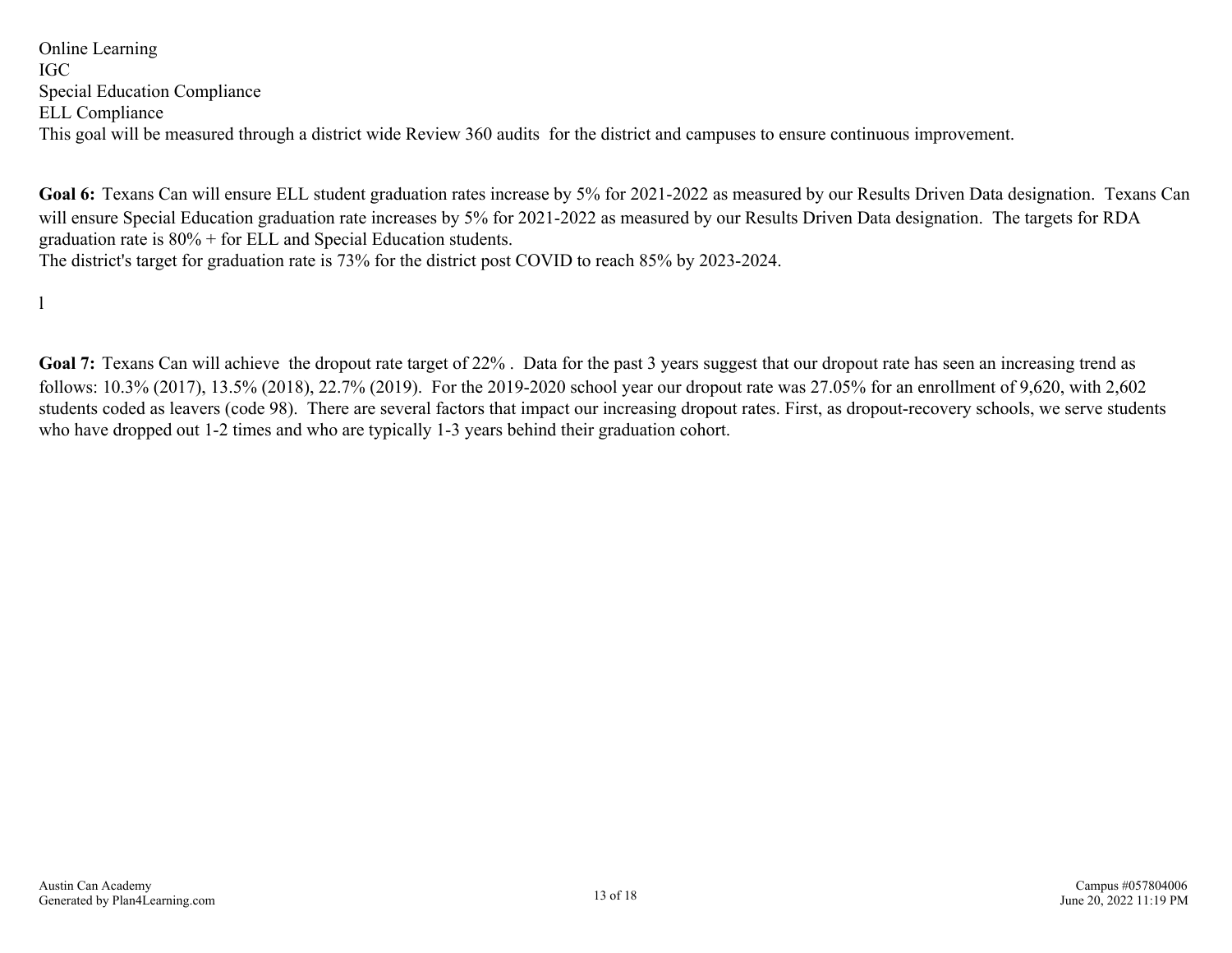<span id="page-12-0"></span>Online Learning IGC Special Education Compliance ELL Compliance This goal will be measured through a district wide Review 360 audits for the district and campuses to ensure continuous improvement.

**Goal 6:** Texans Can will ensure ELL student graduation rates increase by 5% for 2021-2022 as measured by our Results Driven Data designation. Texans Can will ensure Special Education graduation rate increases by 5% for 2021-2022 as measured by our Results Driven Data designation. The targets for RDA graduation rate is 80% + for ELL and Special Education students. The district's target for graduation rate is 73% for the district post COVID to reach 85% by 2023-2024.

l

Goal 7: Texans Can will achieve the dropout rate target of 22%. Data for the past 3 years suggest that our dropout rate has seen an increasing trend as follows: 10.3% (2017), 13.5% (2018), 22.7% (2019). For the 2019-2020 school year our dropout rate was 27.05% for an enrollment of 9,620, with 2,602 students coded as leavers (code 98). There are several factors that impact our increasing dropout rates. First, as dropout-recovery schools, we serve students who have dropped out 1-2 times and who are typically 1-3 years behind their graduation cohort.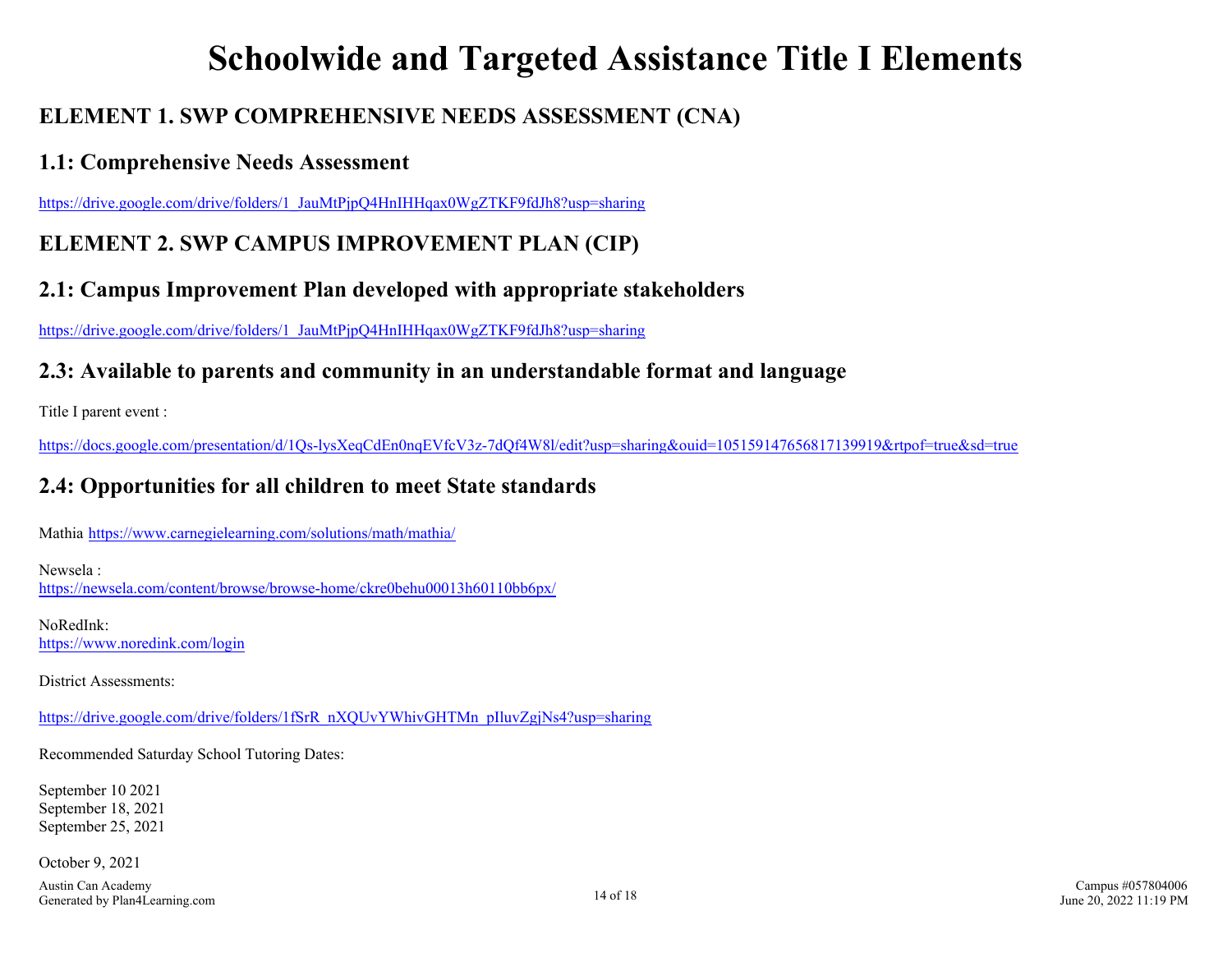## **Schoolwide and Targeted Assistance Title I Elements**

## <span id="page-13-0"></span>**ELEMENT 1. SWP COMPREHENSIVE NEEDS ASSESSMENT (CNA)**

### **1.1: Comprehensive Needs Assessment**

https://drive.google.com/drive/folders/1\_JauMtPjpO4HnIHHqax0WgZTKF9fdJh8?usp=sharing

## **ELEMENT 2. SWP CAMPUS IMPROVEMENT PLAN (CIP)**

## **2.1: Campus Improvement Plan developed with appropriate stakeholders**

[https://drive.google.com/drive/folders/1\\_JauMtPjpQ4HnIHHqax0WgZTKF9fdJh8?usp=sharing](https://drive.google.com/drive/folders/1_JauMtPjpQ4HnIHHqax0WgZTKF9fdJh8?usp=sharing)

### **2.3: Available to parents and community in an understandable format and language**

Title I parent event :

<https://docs.google.com/presentation/d/1Qs-lysXeqCdEn0nqEVfcV3z-7dQf4W8l/edit?usp=sharing&ouid=105159147656817139919&rtpof=true&sd=true>

## **2.4: Opportunities for all children to meet State standards**

Mathia <https://www.carnegielearning.com/solutions/math/mathia/>

Newsela : <https://newsela.com/content/browse/browse-home/ckre0behu00013h60110bb6px/>

NoRedInk: <https://www.noredink.com/login>

District Assessments:

[https://drive.google.com/drive/folders/1fSrR\\_nXQUvYWhivGHTMn\\_pIluvZgjNs4?usp=sharing](https://drive.google.com/drive/folders/1fSrR_nXQUvYWhivGHTMn_pIluvZgjNs4?usp=sharing)

Recommended Saturday School Tutoring Dates:

September 10 2021 September 18, 2021 September 25, 2021

October 9, 2021

Austin Can Academy Figure 14 of 18<br>Generated by Plan4Learning.com 14 of 18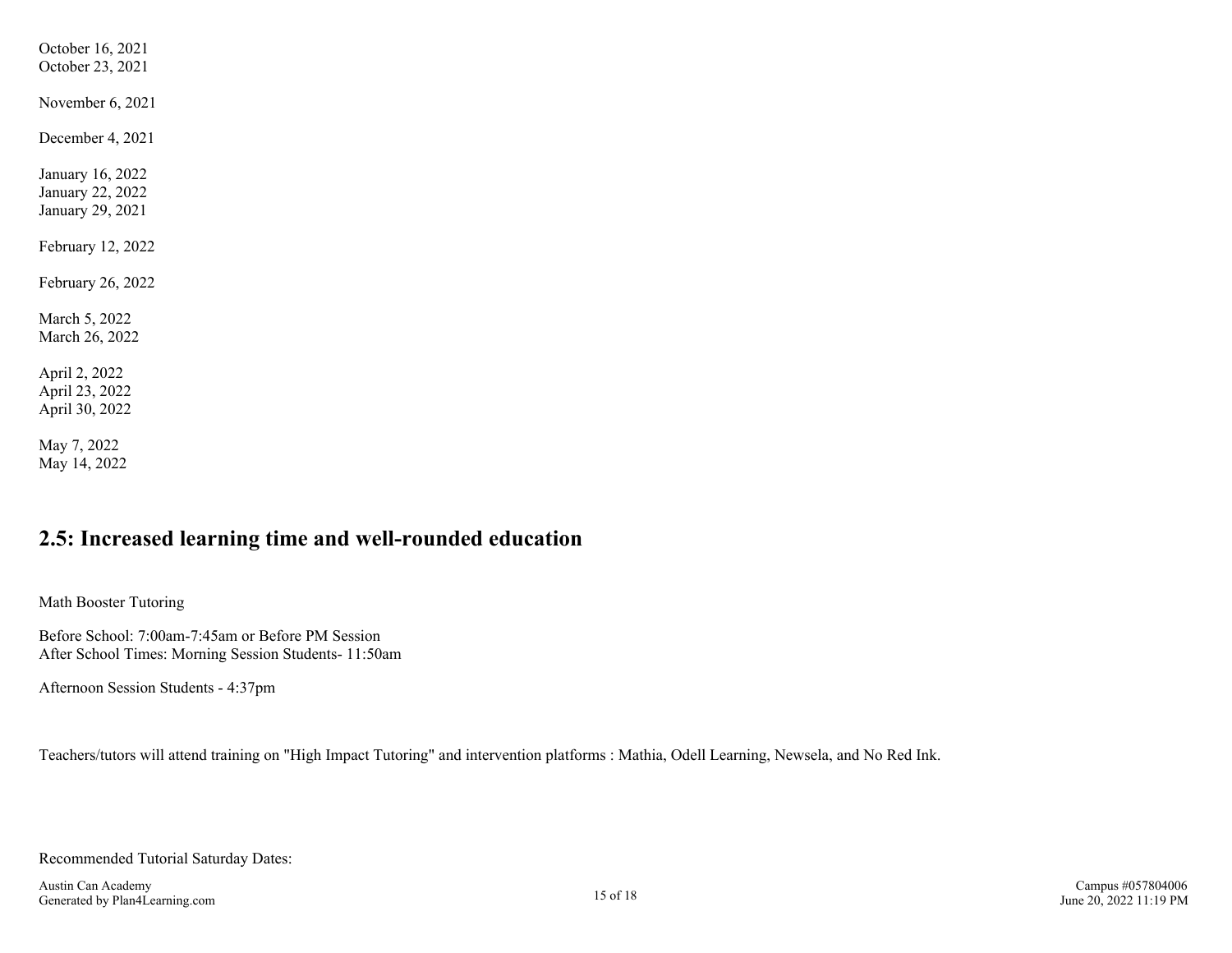<span id="page-14-0"></span>October 16, 2021 October 23, 2021 November 6, 2021 December 4, 2021 January 16, 2022 January 22, 2022 January 29, 2021 February 12, 2022 February 26, 2022 March 5, 2022 March 26, 2022 April 2, 2022 April 23, 2022 April 30, 2022 May 7, 2022 May 14, 2022

### **2.5: Increased learning time and well-rounded education**

Math Booster Tutoring

Before School: 7:00am-7:45am or Before PM Session After School Times: Morning Session Students- 11:50am

Afternoon Session Students - 4:37pm

Teachers/tutors will attend training on "High Impact Tutoring" and intervention platforms : Mathia, Odell Learning, Newsela, and No Red Ink.

Recommended Tutorial Saturday Dates: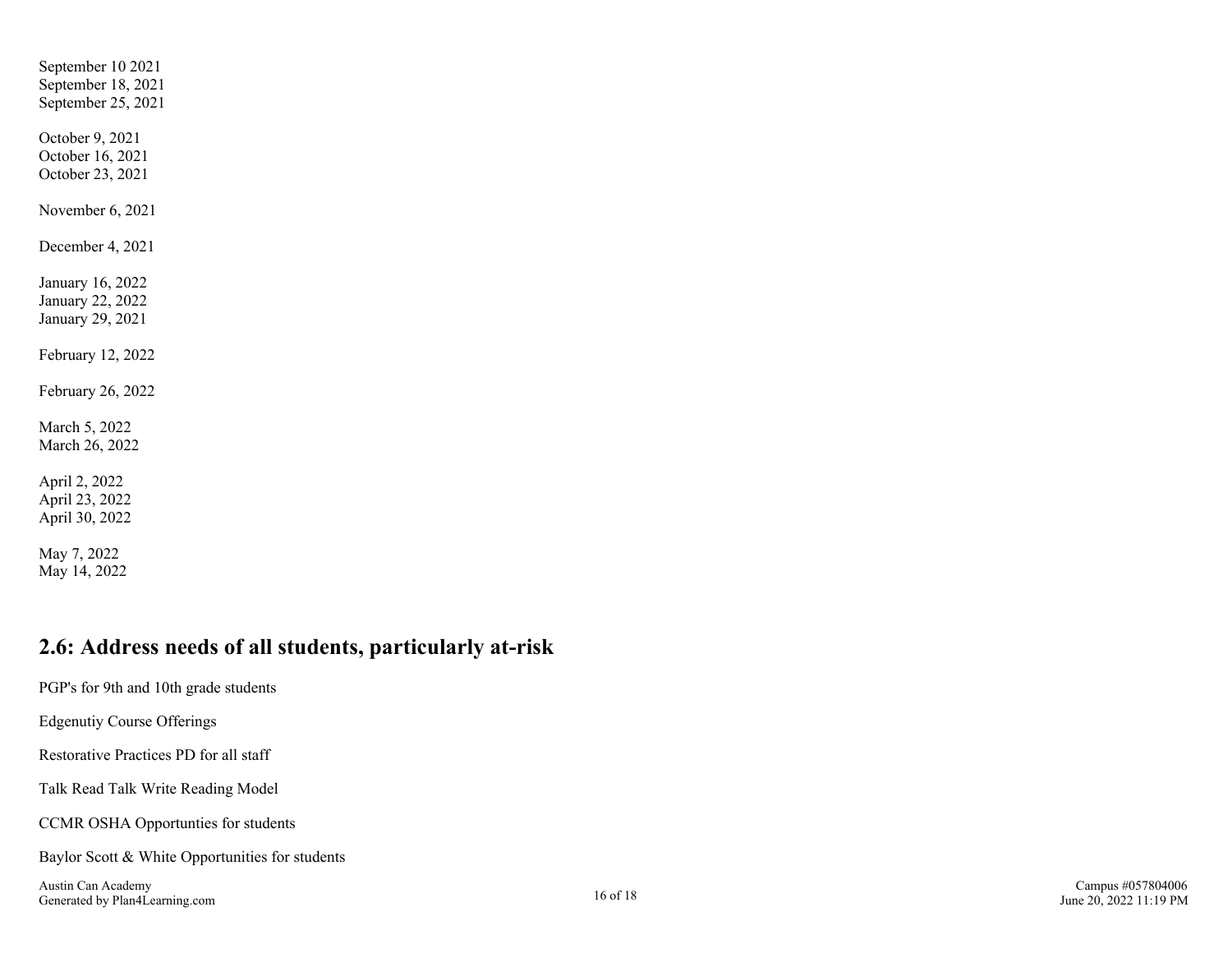<span id="page-15-0"></span>September 10 2021 September 18, 2021 September 25, 2021 October 9, 2021 October 16, 2021 October 23, 2021 November 6, 2021 December 4, 2021 January 16, 2022 January 22, 2022 January 29, 2021 February 12, 2022 February 26, 2022 March 5, 2022 March 26, 2022 April 2, 2022 April 23, 2022 April 30, 2022 May 7, 2022 May 14, 2022

### **2.6: Address needs of all students, particularly at-risk**

PGP's for 9th and 10th grade students Edgenutiy Course Offerings Restorative Practices PD for all staff Talk Read Talk Write Reading Model CCMR OSHA Opportunties for students Baylor Scott & White Opportunities for students

Austin Can Academy Generated by Plan4Learning.com 16 of 18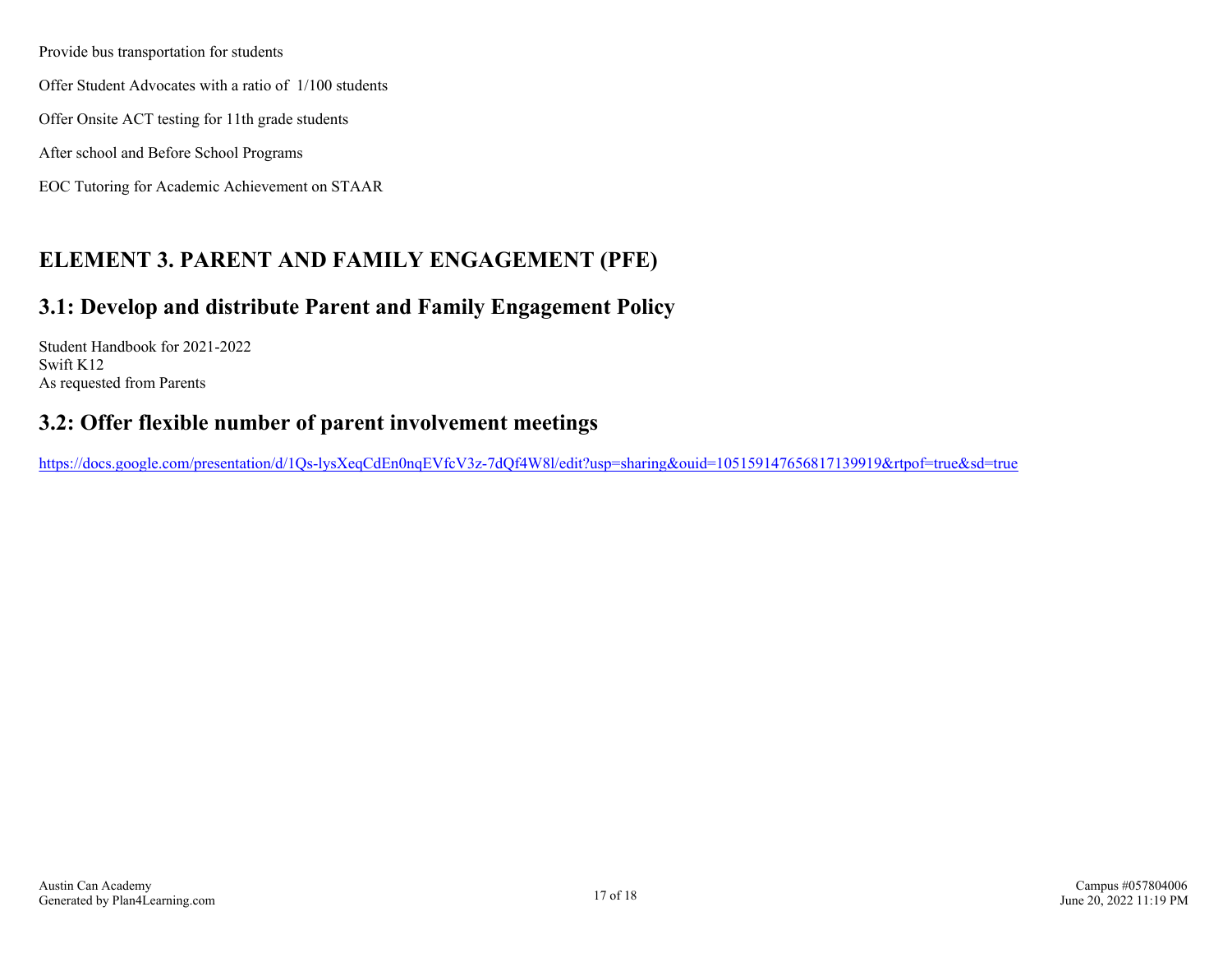<span id="page-16-0"></span>Provide bus transportation for students

Offer Student Advocates with a ratio of 1/100 students

Offer Onsite ACT testing for 11th grade students

After school and Before School Programs

EOC Tutoring for Academic Achievement on STAAR

## **ELEMENT 3. PARENT AND FAMILY ENGAGEMENT (PFE)**

### **3.1: Develop and distribute Parent and Family Engagement Policy**

Student Handbook for 2021-2022 Swift K12 As requested from Parents

### **3.2: Offer flexible number of parent involvement meetings**

<https://docs.google.com/presentation/d/1Qs-lysXeqCdEn0nqEVfcV3z-7dQf4W8l/edit?usp=sharing&ouid=105159147656817139919&rtpof=true&sd=true>